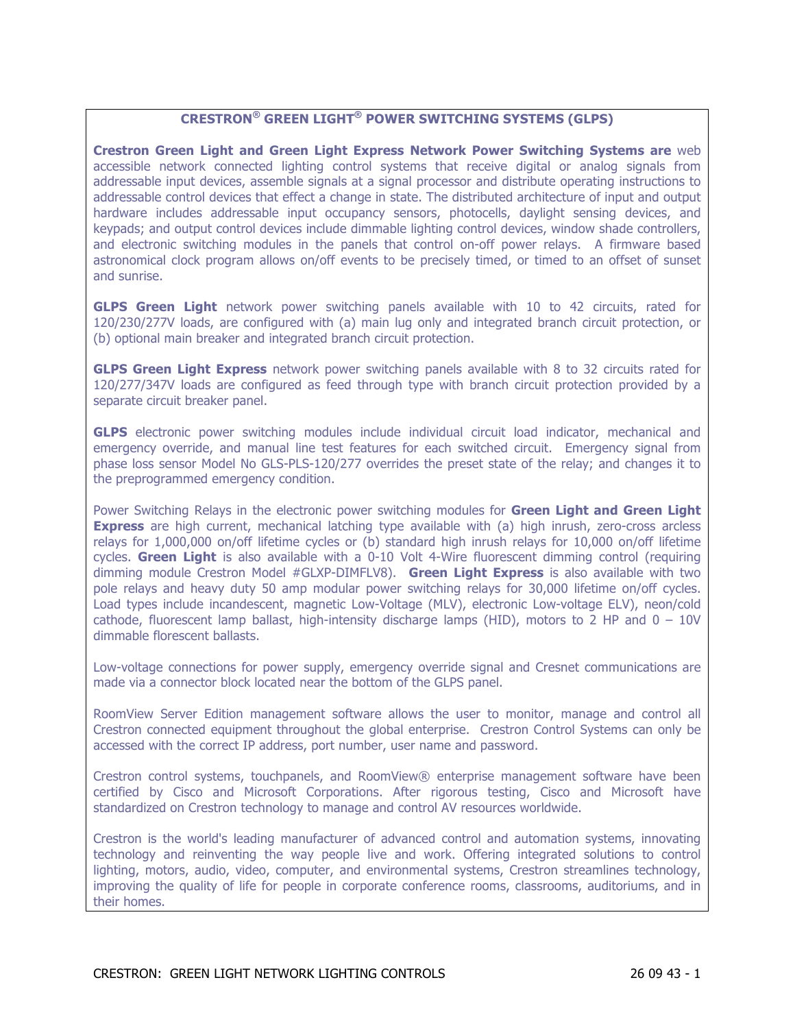# **CRESTRON® GREEN LIGHT® POWER SWITCHING SYSTEMS (GLPS)**

**Crestron Green Light and Green Light Express Network Power Switching Systems are** web accessible network connected lighting control systems that receive digital or analog signals from addressable input devices, assemble signals at a signal processor and distribute operating instructions to addressable control devices that effect a change in state. The distributed architecture of input and output hardware includes addressable input occupancy sensors, photocells, daylight sensing devices, and keypads; and output control devices include dimmable lighting control devices, window shade controllers, and electronic switching modules in the panels that control on-off power relays. A firmware based astronomical clock program allows on/off events to be precisely timed, or timed to an offset of sunset and sunrise.

**GLPS Green Light** network power switching panels available with 10 to 42 circuits, rated for 120/230/277V loads, are configured with (a) main lug only and integrated branch circuit protection, or (b) optional main breaker and integrated branch circuit protection.

**GLPS Green Light Express** network power switching panels available with 8 to 32 circuits rated for 120/277/347V loads are configured as feed through type with branch circuit protection provided by a separate circuit breaker panel.

**GLPS** electronic power switching modules include individual circuit load indicator, mechanical and emergency override, and manual line test features for each switched circuit. Emergency signal from phase loss sensor Model No GLS-PLS-120/277 overrides the preset state of the relay; and changes it to the preprogrammed emergency condition.

Power Switching Relays in the electronic power switching modules for **Green Light and Green Light Express** are high current, mechanical latching type available with (a) high inrush, zero-cross arcless relays for 1,000,000 on/off lifetime cycles or (b) standard high inrush relays for 10,000 on/off lifetime cycles. **Green Light** is also available with a 0-10 Volt 4-Wire fluorescent dimming control (requiring dimming module Crestron Model #GLXP-DIMFLV8). **Green Light Express** is also available with two pole relays and heavy duty 50 amp modular power switching relays for 30,000 lifetime on/off cycles. Load types include incandescent, magnetic Low-Voltage (MLV), electronic Low-voltage ELV), neon/cold cathode, fluorescent lamp ballast, high-intensity discharge lamps (HID), motors to 2 HP and  $0 - 10V$ dimmable florescent ballasts.

Low-voltage connections for power supply, emergency override signal and Cresnet communications are made via a connector block located near the bottom of the GLPS panel.

RoomView Server Edition management software allows the user to monitor, manage and control all Crestron connected equipment throughout the global enterprise. Crestron Control Systems can only be accessed with the correct IP address, port number, user name and password.

Crestron control systems, touchpanels, and RoomView® enterprise management software have been certified by Cisco and Microsoft Corporations. After rigorous testing, Cisco and Microsoft have standardized on Crestron technology to manage and control AV resources worldwide.

Crestron is the world's leading manufacturer of advanced control and automation systems, innovating technology and reinventing the way people live and work. Offering integrated solutions to control lighting, motors, audio, video, computer, and environmental systems, Crestron streamlines technology, improving the quality of life for people in corporate conference rooms, classrooms, auditoriums, and in their homes.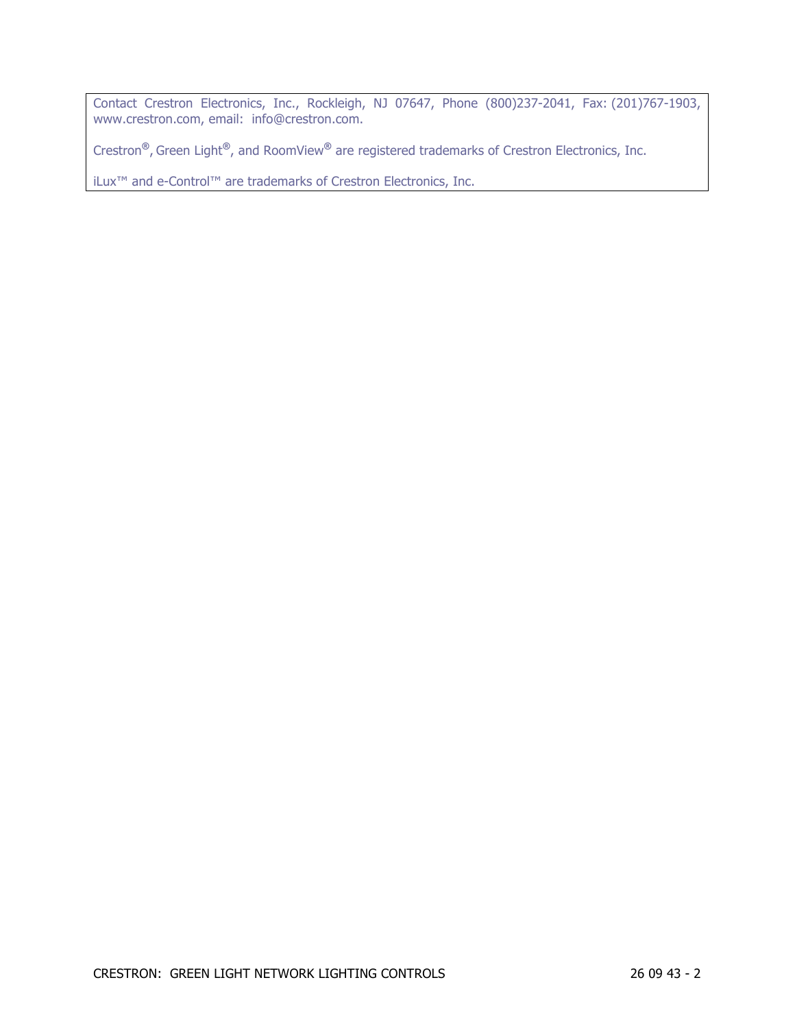Contact Crestron Electronics, Inc., Rockleigh, NJ 07647, Phone (800)237-2041, Fax: (201)767-1903, www.crestron.com, email: info@crestron.com.

Crestron**®**, Green Light**®**, and RoomView**®** are registered trademarks of Crestron Electronics, Inc.

iLux™ and e-Control™ are trademarks of Crestron Electronics, Inc.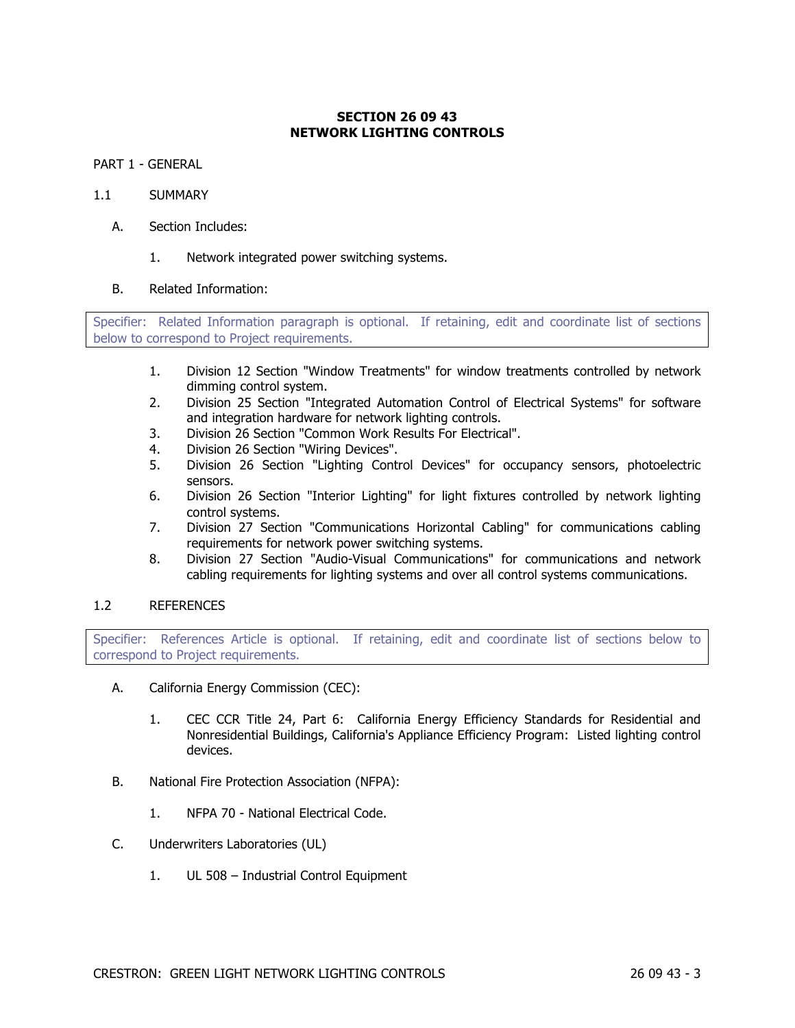# **SECTION 26 09 43 NETWORK LIGHTING CONTROLS**

PART 1 - GENERAL

### 1.1 SUMMARY

- A. Section Includes:
	- 1. Network integrated power switching systems.

## B. Related Information:

Specifier: Related Information paragraph is optional. If retaining, edit and coordinate list of sections below to correspond to Project requirements.

- 1. Division 12 Section "Window Treatments" for window treatments controlled by network dimming control system.
- 2. Division 25 Section "Integrated Automation Control of Electrical Systems" for software and integration hardware for network lighting controls.
- 3. Division 26 Section "Common Work Results For Electrical".
- 4. Division 26 Section "Wiring Devices".
- 5. Division 26 Section "Lighting Control Devices" for occupancy sensors, photoelectric sensors.
- 6. Division 26 Section "Interior Lighting" for light fixtures controlled by network lighting control systems.
- 7. Division 27 Section "Communications Horizontal Cabling" for communications cabling requirements for network power switching systems.
- 8. Division 27 Section "Audio-Visual Communications" for communications and network cabling requirements for lighting systems and over all control systems communications.

### 1.2 REFERENCES

Specifier: References Article is optional. If retaining, edit and coordinate list of sections below to correspond to Project requirements.

- A. California Energy Commission (CEC):
	- 1. CEC CCR Title 24, Part 6: California Energy Efficiency Standards for Residential and Nonresidential Buildings, California's Appliance Efficiency Program: Listed lighting control devices.
- B. National Fire Protection Association (NFPA):
	- 1. NFPA 70 National Electrical Code.
- C. Underwriters Laboratories (UL)
	- 1. UL 508 Industrial Control Equipment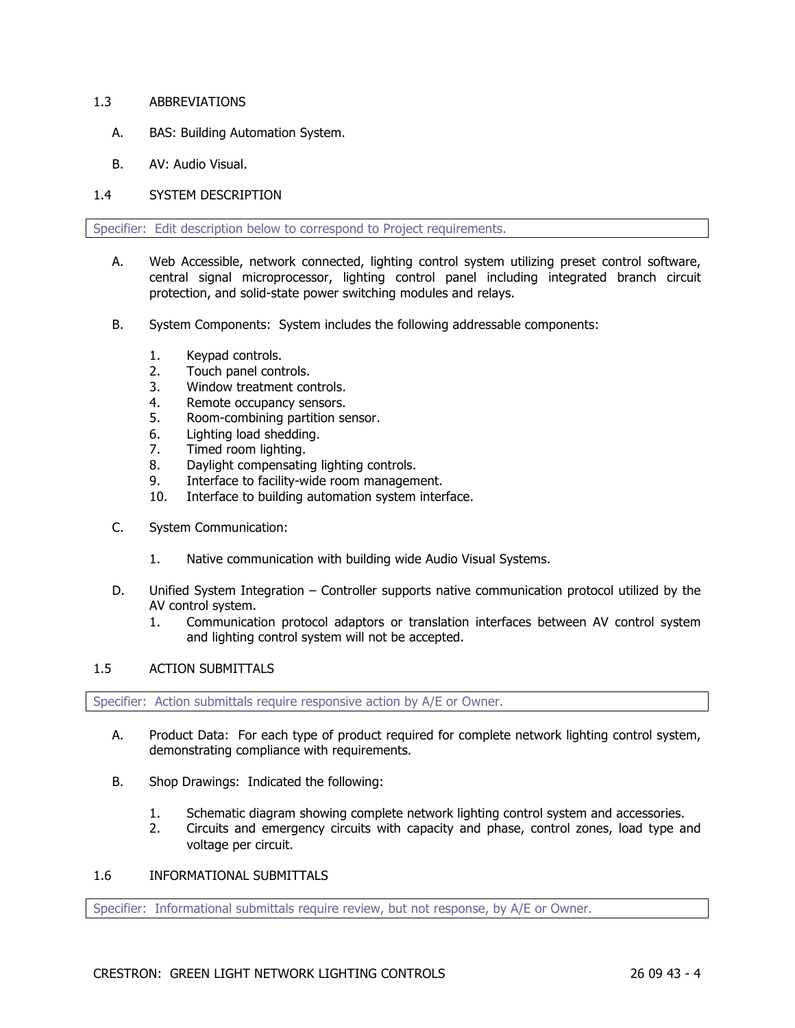### 1.3 ABBREVIATIONS

- A. BAS: Building Automation System.
- B. AV: Audio Visual.

# 1.4 SYSTEM DESCRIPTION

Specifier: Edit description below to correspond to Project requirements.

- A. Web Accessible, network connected, lighting control system utilizing preset control software, central signal microprocessor, lighting control panel including integrated branch circuit protection, and solid-state power switching modules and relays.
- B. System Components: System includes the following addressable components:
	- 1. Keypad controls.
	- 2. Touch panel controls.
	- 3. Window treatment controls.
	- 4. Remote occupancy sensors.
	- 5. Room-combining partition sensor.
	- 6. Lighting load shedding.
	- 7. Timed room lighting.
	- 8. Daylight compensating lighting controls.
	- 9. Interface to facility-wide room management.
	- 10. Interface to building automation system interface.
- C. System Communication:
	- 1. Native communication with building wide Audio Visual Systems.
- D. Unified System Integration Controller supports native communication protocol utilized by the AV control system.
	- 1. Communication protocol adaptors or translation interfaces between AV control system and lighting control system will not be accepted.

### 1.5 ACTION SUBMITTALS

Specifier: Action submittals require responsive action by A/E or Owner.

- A. Product Data: For each type of product required for complete network lighting control system, demonstrating compliance with requirements.
- B. Shop Drawings: Indicated the following:
	- 1. Schematic diagram showing complete network lighting control system and accessories.
	- 2. Circuits and emergency circuits with capacity and phase, control zones, load type and voltage per circuit.

# 1.6 INFORMATIONAL SUBMITTALS

Specifier: Informational submittals require review, but not response, by A/E or Owner.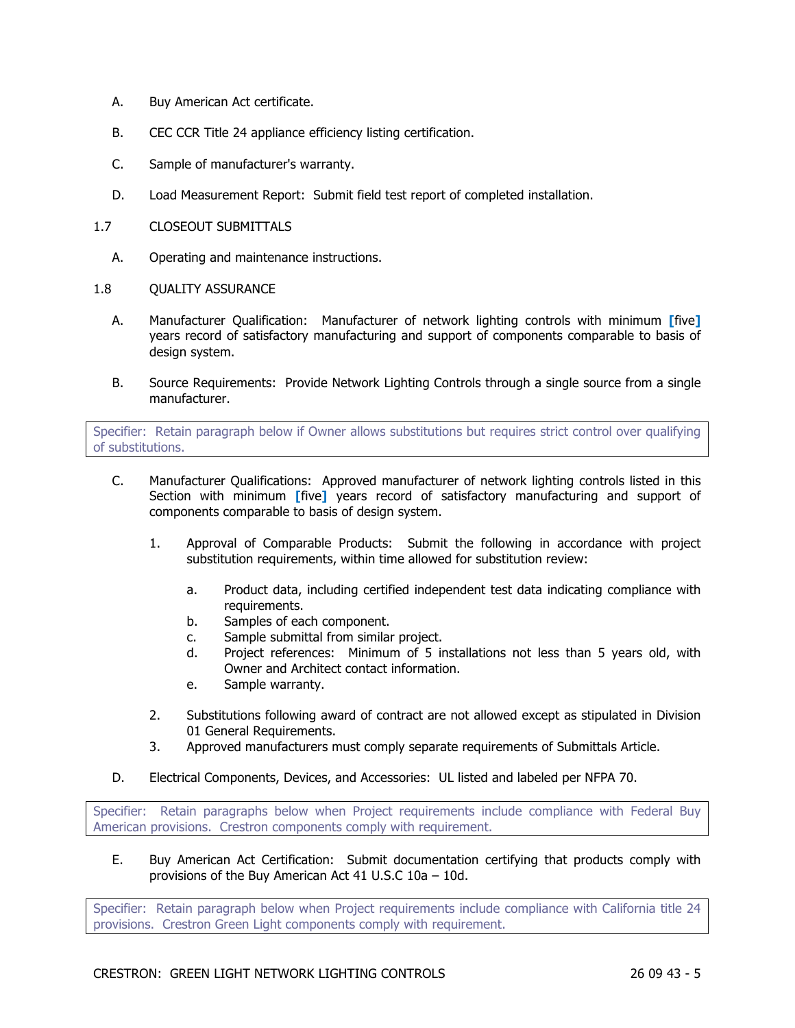- A. Buy American Act certificate.
- B. CEC CCR Title 24 appliance efficiency listing certification.
- C. Sample of manufacturer's warranty.
- D. Load Measurement Report: Submit field test report of completed installation.
- 1.7 CLOSEOUT SUBMITTALS
	- A. Operating and maintenance instructions.
- 1.8 QUALITY ASSURANCE
	- A. Manufacturer Qualification: Manufacturer of network lighting controls with minimum **[**five**]** years record of satisfactory manufacturing and support of components comparable to basis of design system.
	- B. Source Requirements: Provide Network Lighting Controls through a single source from a single manufacturer.

Specifier: Retain paragraph below if Owner allows substitutions but requires strict control over qualifying of substitutions.

- C. Manufacturer Qualifications: Approved manufacturer of network lighting controls listed in this Section with minimum **[**five**]** years record of satisfactory manufacturing and support of components comparable to basis of design system.
	- 1. Approval of Comparable Products: Submit the following in accordance with project substitution requirements, within time allowed for substitution review:
		- a. Product data, including certified independent test data indicating compliance with requirements.
		- b. Samples of each component.
		- c. Sample submittal from similar project.
		- d. Project references: Minimum of 5 installations not less than 5 years old, with Owner and Architect contact information.
		- e. Sample warranty.
	- 2. Substitutions following award of contract are not allowed except as stipulated in Division 01 General Requirements.
	- 3. Approved manufacturers must comply separate requirements of Submittals Article.
- D. Electrical Components, Devices, and Accessories: UL listed and labeled per NFPA 70.

Specifier: Retain paragraphs below when Project requirements include compliance with Federal Buy American provisions. Crestron components comply with requirement.

E. Buy American Act Certification: Submit documentation certifying that products comply with provisions of the Buy American Act 41 U.S.C 10a – 10d.

Specifier: Retain paragraph below when Project requirements include compliance with California title 24 provisions. Crestron Green Light components comply with requirement.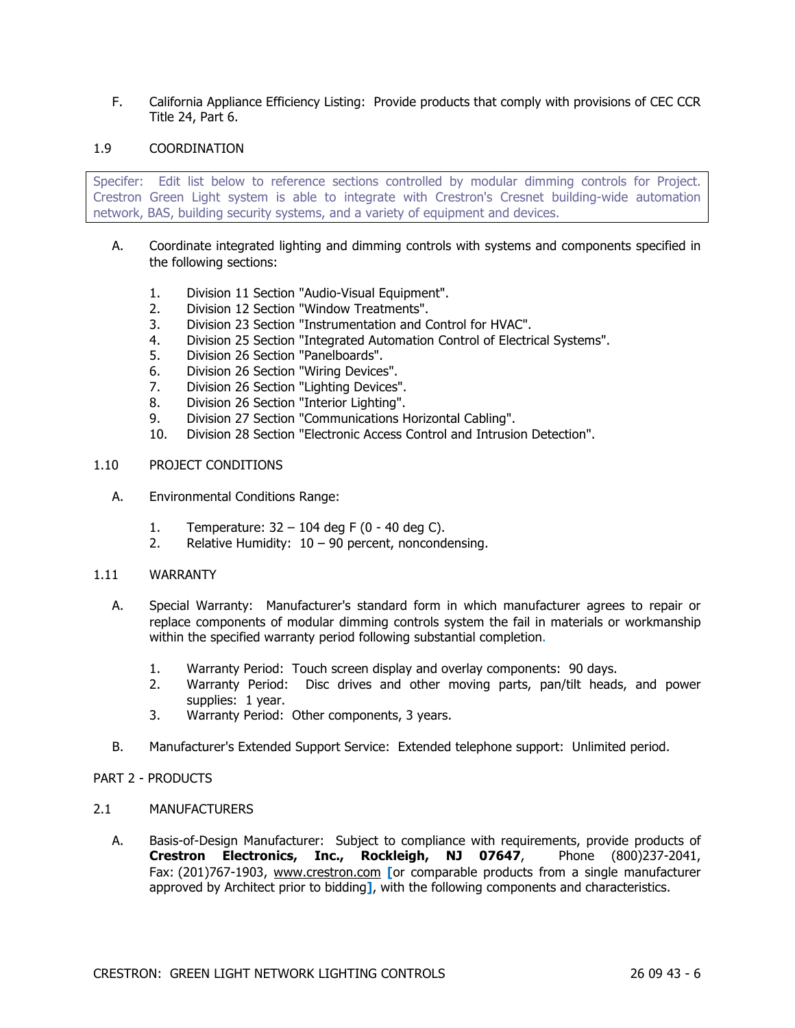F. California Appliance Efficiency Listing: Provide products that comply with provisions of CEC CCR Title 24, Part 6.

### 1.9 COORDINATION

Specifer: Edit list below to reference sections controlled by modular dimming controls for Project. Crestron Green Light system is able to integrate with Crestron's Cresnet building-wide automation network, BAS, building security systems, and a variety of equipment and devices.

- A. Coordinate integrated lighting and dimming controls with systems and components specified in the following sections:
	- 1. Division 11 Section "Audio-Visual Equipment".
	- 2. Division 12 Section "Window Treatments".
	- 3. Division 23 Section "Instrumentation and Control for HVAC".
	- 4. Division 25 Section "Integrated Automation Control of Electrical Systems".
	- 5. Division 26 Section "Panelboards".
	- 6. Division 26 Section "Wiring Devices".
	- 7. Division 26 Section "Lighting Devices".
	- 8. Division 26 Section "Interior Lighting".
	- 9. Division 27 Section "Communications Horizontal Cabling".
	- 10. Division 28 Section "Electronic Access Control and Intrusion Detection".

### 1.10 PROJECT CONDITIONS

- A. Environmental Conditions Range:
	- 1. Temperature: 32 104 deg F (0 40 deg C).
	- 2. Relative Humidity:  $10 90$  percent, noncondensing.
- 1.11 WARRANTY
	- A. Special Warranty: Manufacturer's standard form in which manufacturer agrees to repair or replace components of modular dimming controls system the fail in materials or workmanship within the specified warranty period following substantial completion.
		- 1. Warranty Period: Touch screen display and overlay components: 90 days.
		- 2. Warranty Period: Disc drives and other moving parts, pan/tilt heads, and power supplies: 1 year.
		- 3. Warranty Period: Other components, 3 years.
	- B. Manufacturer's Extended Support Service: Extended telephone support: Unlimited period.
- PART 2 PRODUCTS
- 2.1 MANUFACTURERS
	- A. Basis-of-Design Manufacturer: Subject to compliance with requirements, provide products of **Crestron Electronics, Inc., Rockleigh, NJ 07647**, Phone (800)237-2041, Fax: (201)767-1903, www.crestron.com **[**or comparable products from a single manufacturer approved by Architect prior to bidding**]**, with the following components and characteristics.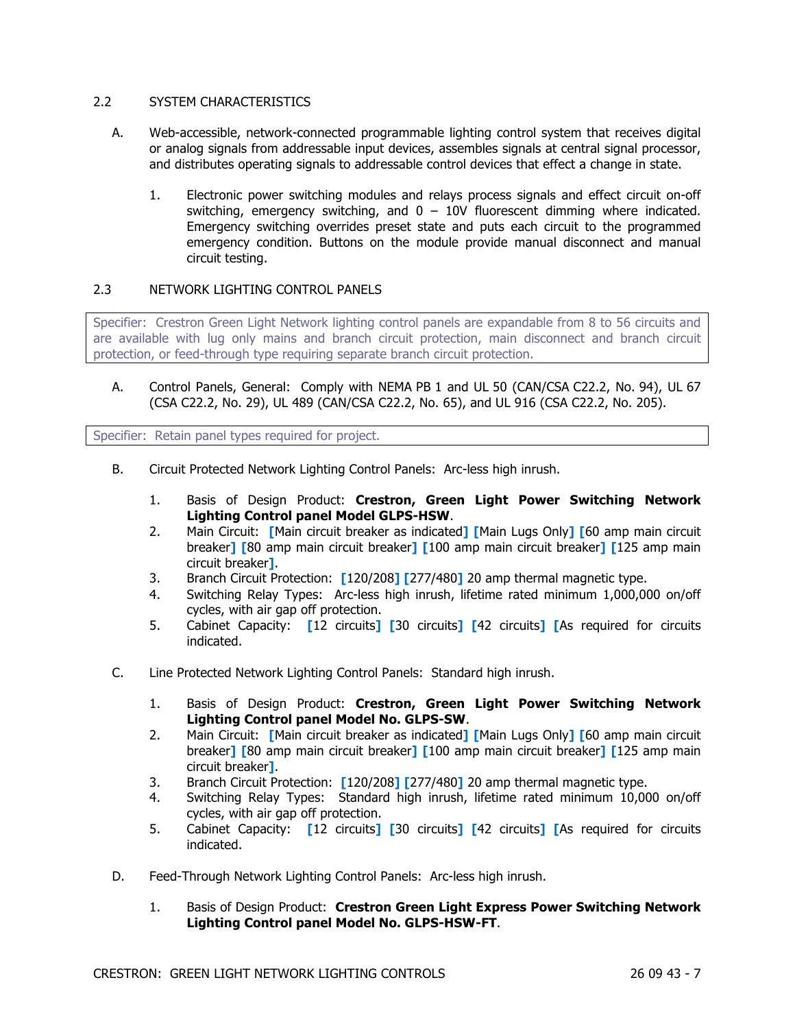## 2.2 SYSTEM CHARACTERISTICS

- A. Web-accessible, network-connected programmable lighting control system that receives digital or analog signals from addressable input devices, assembles signals at central signal processor, and distributes operating signals to addressable control devices that effect a change in state.
	- 1. Electronic power switching modules and relays process signals and effect circuit on-off switching, emergency switching, and  $0 - 10V$  fluorescent dimming where indicated. Emergency switching overrides preset state and puts each circuit to the programmed emergency condition. Buttons on the module provide manual disconnect and manual circuit testing.

# 2.3 NETWORK LIGHTING CONTROL PANELS

Specifier: Crestron Green Light Network lighting control panels are expandable from 8 to 56 circuits and are available with lug only mains and branch circuit protection, main disconnect and branch circuit protection, or feed-through type requiring separate branch circuit protection.

A. Control Panels, General: Comply with NEMA PB 1 and UL 50 (CAN/CSA C22.2, No. 94), UL 67 (CSA C22.2, No. 29), UL 489 (CAN/CSA C22.2, No. 65), and UL 916 (CSA C22.2, No. 205).

Specifier: Retain panel types required for project.

- B. Circuit Protected Network Lighting Control Panels: Arc-less high inrush.
	- 1. Basis of Design Product: **Crestron, Green Light Power Switching Network Lighting Control panel Model GLPS-HSW**.
	- 2. Main Circuit: **[**Main circuit breaker as indicated**] [**Main Lugs Only**] [**60 amp main circuit breaker**] [**80 amp main circuit breaker**] [**100 amp main circuit breaker**] [**125 amp main circuit breaker**]**.
	- 3. Branch Circuit Protection: **[**120/208**] [**277/480**]** 20 amp thermal magnetic type.
	- 4. Switching Relay Types: Arc-less high inrush, lifetime rated minimum 1,000,000 on/off cycles, with air gap off protection.
	- 5. Cabinet Capacity: **[**12 circuits**] [**30 circuits**] [**42 circuits**] [**As required for circuits indicated.
- C. Line Protected Network Lighting Control Panels: Standard high inrush.
	- 1. Basis of Design Product: **Crestron, Green Light Power Switching Network Lighting Control panel Model No. GLPS-SW**.
	- 2. Main Circuit: **[**Main circuit breaker as indicated**] [**Main Lugs Only**] [**60 amp main circuit breaker**] [**80 amp main circuit breaker**] [**100 amp main circuit breaker**] [**125 amp main circuit breaker**]**.
	- 3. Branch Circuit Protection: **[**120/208**] [**277/480**]** 20 amp thermal magnetic type.
	- 4. Switching Relay Types: Standard high inrush, lifetime rated minimum 10,000 on/off cycles, with air gap off protection.
	- 5. Cabinet Capacity: **[**12 circuits**] [**30 circuits**] [**42 circuits**] [**As required for circuits indicated.
- D. Feed-Through Network Lighting Control Panels: Arc-less high inrush.
	- 1. Basis of Design Product: **Crestron Green Light Express Power Switching Network Lighting Control panel Model No. GLPS-HSW-FT**.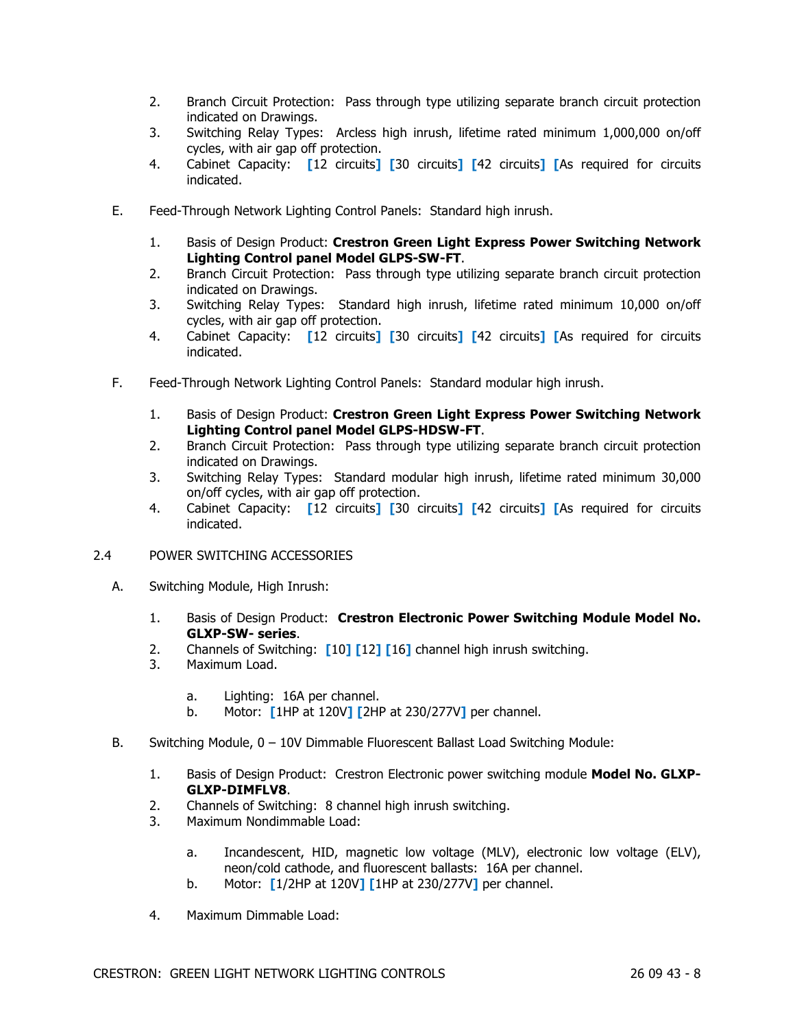- 2. Branch Circuit Protection: Pass through type utilizing separate branch circuit protection indicated on Drawings.
- 3. Switching Relay Types: Arcless high inrush, lifetime rated minimum 1,000,000 on/off cycles, with air gap off protection.
- 4. Cabinet Capacity: **[**12 circuits**] [**30 circuits**] [**42 circuits**] [**As required for circuits indicated.
- E. Feed-Through Network Lighting Control Panels: Standard high inrush.
	- 1. Basis of Design Product: **Crestron Green Light Express Power Switching Network Lighting Control panel Model GLPS-SW-FT**.
	- 2. Branch Circuit Protection: Pass through type utilizing separate branch circuit protection indicated on Drawings.
	- 3. Switching Relay Types: Standard high inrush, lifetime rated minimum 10,000 on/off cycles, with air gap off protection.
	- 4. Cabinet Capacity: **[**12 circuits**] [**30 circuits**] [**42 circuits**] [**As required for circuits indicated.
- F. Feed-Through Network Lighting Control Panels: Standard modular high inrush.
	- 1. Basis of Design Product: **Crestron Green Light Express Power Switching Network Lighting Control panel Model GLPS-HDSW-FT**.
	- 2. Branch Circuit Protection: Pass through type utilizing separate branch circuit protection indicated on Drawings.
	- 3. Switching Relay Types: Standard modular high inrush, lifetime rated minimum 30,000 on/off cycles, with air gap off protection.
	- 4. Cabinet Capacity: **[**12 circuits**] [**30 circuits**] [**42 circuits**] [**As required for circuits indicated.
- 2.4 POWER SWITCHING ACCESSORIES
	- A. Switching Module, High Inrush:
		- 1. Basis of Design Product: **Crestron Electronic Power Switching Module Model No. GLXP-SW- series**.
		- 2. Channels of Switching: **[**10**] [**12**] [**16**]** channel high inrush switching.
		- 3. Maximum Load.
			- a. Lighting: 16A per channel.
			- b. Motor: **[**1HP at 120V**] [**2HP at 230/277V**]** per channel.
	- B. Switching Module, 0 10V Dimmable Fluorescent Ballast Load Switching Module:
		- 1. Basis of Design Product: Crestron Electronic power switching module **Model No. GLXP-GLXP-DIMFLV8**.
		- 2. Channels of Switching: 8 channel high inrush switching.
		- 3. Maximum Nondimmable Load:
			- a. Incandescent, HID, magnetic low voltage (MLV), electronic low voltage (ELV), neon/cold cathode, and fluorescent ballasts: 16A per channel.
			- b. Motor: **[**1/2HP at 120V**] [**1HP at 230/277V**]** per channel.
		- 4. Maximum Dimmable Load: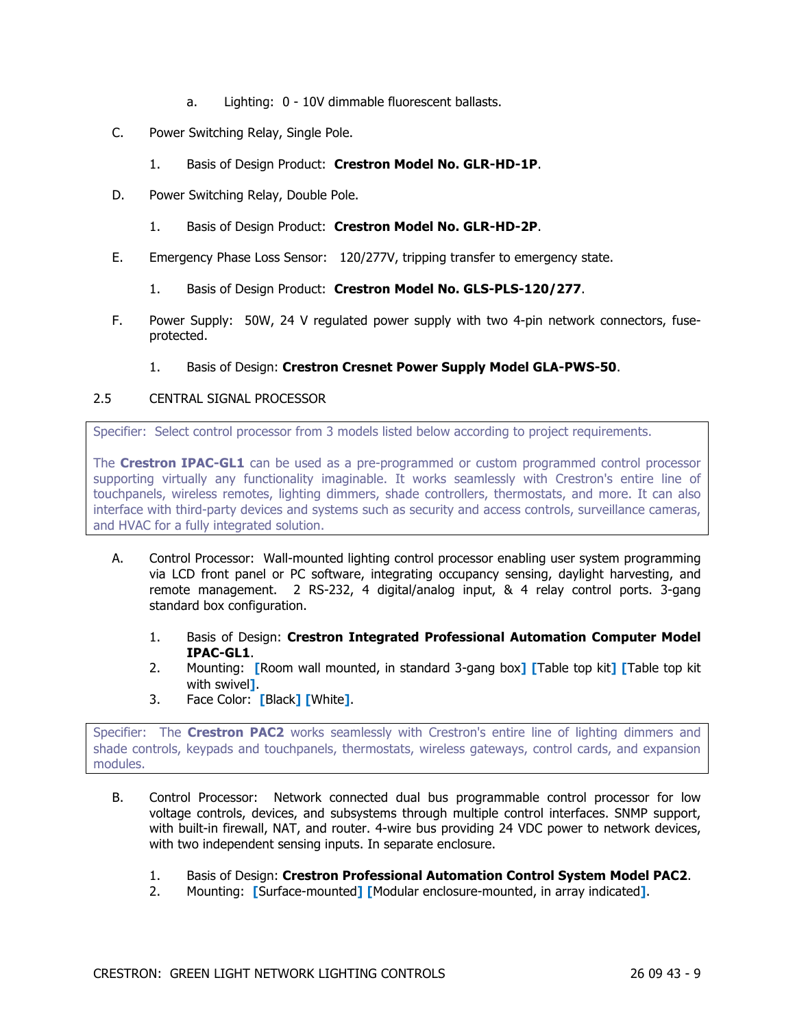- a. Lighting: 0 10V dimmable fluorescent ballasts.
- C. Power Switching Relay, Single Pole.
	- 1. Basis of Design Product: **Crestron Model No. GLR-HD-1P**.
- D. Power Switching Relay, Double Pole.
	- 1. Basis of Design Product: **Crestron Model No. GLR-HD-2P**.
- E. Emergency Phase Loss Sensor: 120/277V, tripping transfer to emergency state.
	- 1. Basis of Design Product: **Crestron Model No. GLS-PLS-120/277**.
- F. Power Supply: 50W, 24 V regulated power supply with two 4-pin network connectors, fuseprotected.
	- 1. Basis of Design: **Crestron Cresnet Power Supply Model GLA-PWS-50**.

## 2.5 CENTRAL SIGNAL PROCESSOR

Specifier: Select control processor from 3 models listed below according to project requirements.

The **Crestron IPAC-GL1** can be used as a pre-programmed or custom programmed control processor supporting virtually any functionality imaginable. It works seamlessly with Crestron's entire line of touchpanels, wireless remotes, lighting dimmers, shade controllers, thermostats, and more. It can also interface with third-party devices and systems such as security and access controls, surveillance cameras, and HVAC for a fully integrated solution.

- A. Control Processor: Wall-mounted lighting control processor enabling user system programming via LCD front panel or PC software, integrating occupancy sensing, daylight harvesting, and remote management. 2 RS-232, 4 digital/analog input, & 4 relay control ports. 3-gang standard box configuration.
	- 1. Basis of Design: **Crestron Integrated Professional Automation Computer Model IPAC-GL1**.
	- 2. Mounting: **[**Room wall mounted, in standard 3-gang box**] [**Table top kit**] [**Table top kit with swivel**]**.
	- 3. Face Color: **[**Black**] [**White**]**.

Specifier: The **Crestron PAC2** works seamlessly with Crestron's entire line of lighting dimmers and shade controls, keypads and touchpanels, thermostats, wireless gateways, control cards, and expansion modules.

- B. Control Processor: Network connected dual bus programmable control processor for low voltage controls, devices, and subsystems through multiple control interfaces. SNMP support, with built-in firewall, NAT, and router. 4-wire bus providing 24 VDC power to network devices, with two independent sensing inputs. In separate enclosure.
	- 1. Basis of Design: **Crestron Professional Automation Control System Model PAC2**.
	- 2. Mounting: **[**Surface-mounted**] [**Modular enclosure-mounted, in array indicated**]**.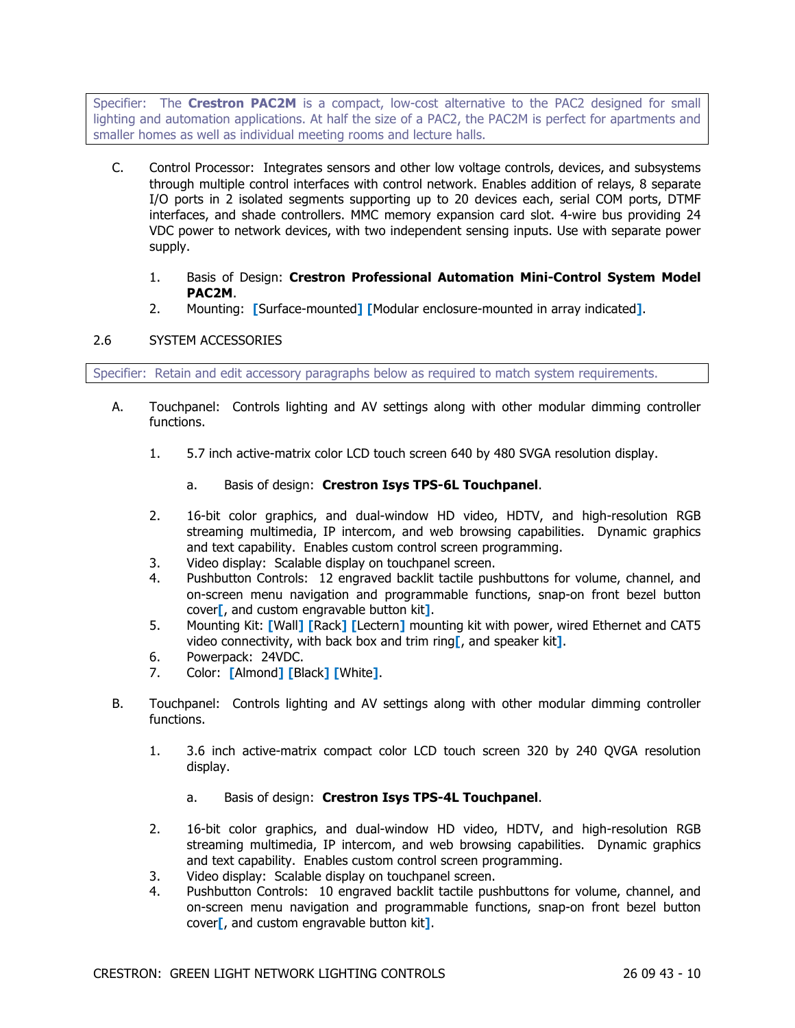Specifier: The **Crestron PAC2M** is a compact, low-cost alternative to the PAC2 designed for small lighting and automation applications. At half the size of a PAC2, the PAC2M is perfect for apartments and smaller homes as well as individual meeting rooms and lecture halls.

- C. Control Processor: Integrates sensors and other low voltage controls, devices, and subsystems through multiple control interfaces with control network. Enables addition of relays, 8 separate I/O ports in 2 isolated segments supporting up to 20 devices each, serial COM ports, DTMF interfaces, and shade controllers. MMC memory expansion card slot. 4-wire bus providing 24 VDC power to network devices, with two independent sensing inputs. Use with separate power supply.
	- 1. Basis of Design: **Crestron Professional Automation Mini-Control System Model PAC2M**.
	- 2. Mounting: **[**Surface-mounted**] [**Modular enclosure-mounted in array indicated**]**.

# 2.6 SYSTEM ACCESSORIES

Specifier: Retain and edit accessory paragraphs below as required to match system requirements.

- A. Touchpanel: Controls lighting and AV settings along with other modular dimming controller functions.
	- 1. 5.7 inch active-matrix color LCD touch screen 640 by 480 SVGA resolution display.
		- a. Basis of design: **Crestron Isys TPS-6L Touchpanel**.
	- 2. 16-bit color graphics, and dual-window HD video, HDTV, and high-resolution RGB streaming multimedia, IP intercom, and web browsing capabilities. Dynamic graphics and text capability. Enables custom control screen programming.
	- 3. Video display: Scalable display on touchpanel screen.
	- 4. Pushbutton Controls: 12 engraved backlit tactile pushbuttons for volume, channel, and on-screen menu navigation and programmable functions, snap-on front bezel button cover**[**, and custom engravable button kit**]**.
	- 5. Mounting Kit: **[**Wall**] [**Rack**] [**Lectern**]** mounting kit with power, wired Ethernet and CAT5 video connectivity, with back box and trim ring**[**, and speaker kit**]**.
	- 6. Powerpack: 24VDC.
	- 7. Color: **[**Almond**] [**Black**] [**White**]**.
- B. Touchpanel: Controls lighting and AV settings along with other modular dimming controller functions.
	- 1. 3.6 inch active-matrix compact color LCD touch screen 320 by 240 QVGA resolution display.
		- a. Basis of design: **Crestron Isys TPS-4L Touchpanel**.
	- 2. 16-bit color graphics, and dual-window HD video, HDTV, and high-resolution RGB streaming multimedia, IP intercom, and web browsing capabilities. Dynamic graphics and text capability. Enables custom control screen programming.
	- 3. Video display: Scalable display on touchpanel screen.
	- 4. Pushbutton Controls: 10 engraved backlit tactile pushbuttons for volume, channel, and on-screen menu navigation and programmable functions, snap-on front bezel button cover**[**, and custom engravable button kit**]**.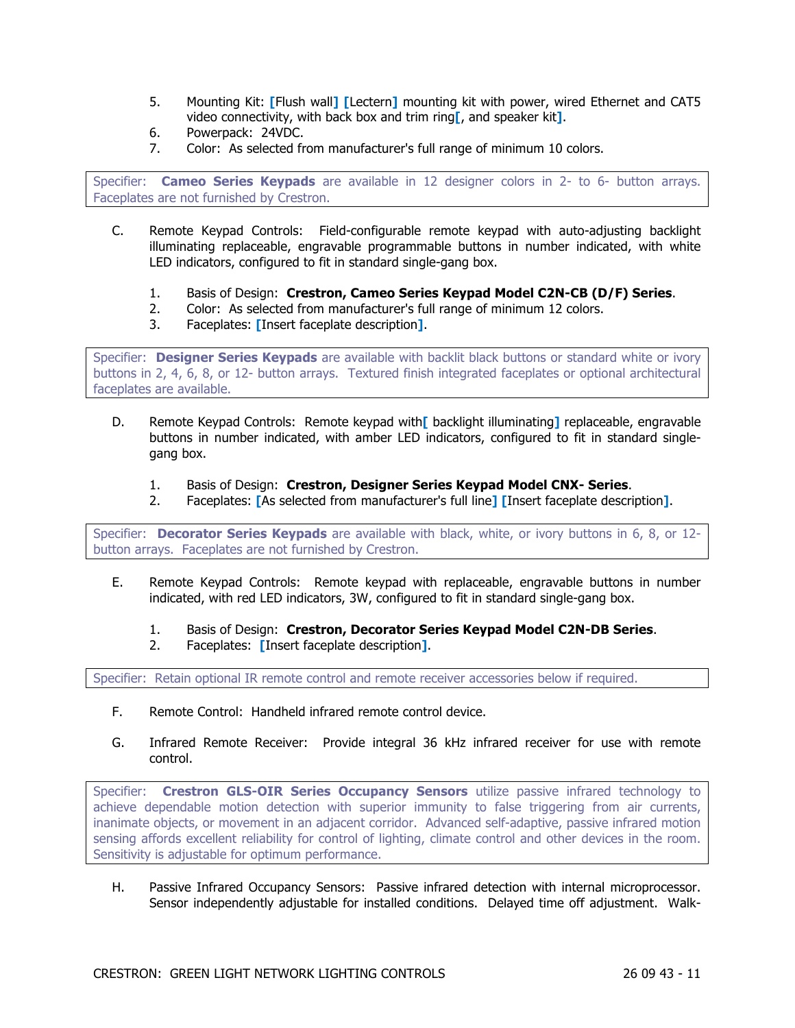- 5. Mounting Kit: **[**Flush wall**] [**Lectern**]** mounting kit with power, wired Ethernet and CAT5 video connectivity, with back box and trim ring**[**, and speaker kit**]**.
- 6. Powerpack: 24VDC.
- 7. Color: As selected from manufacturer's full range of minimum 10 colors.

Specifier: **Cameo Series Keypads** are available in 12 designer colors in 2- to 6- button arrays. Faceplates are not furnished by Crestron.

- C. Remote Keypad Controls: Field-configurable remote keypad with auto-adjusting backlight illuminating replaceable, engravable programmable buttons in number indicated, with white LED indicators, configured to fit in standard single-gang box.
	- 1. Basis of Design: **Crestron, Cameo Series Keypad Model C2N-CB (D/F) Series**.
	- 2. Color: As selected from manufacturer's full range of minimum 12 colors.
	- 3. Faceplates: **[**Insert faceplate description**]**.

Specifier: **Designer Series Keypads** are available with backlit black buttons or standard white or ivory buttons in 2, 4, 6, 8, or 12- button arrays. Textured finish integrated faceplates or optional architectural faceplates are available.

- D. Remote Keypad Controls: Remote keypad with**[** backlight illuminating**]** replaceable, engravable buttons in number indicated, with amber LED indicators, configured to fit in standard singlegang box.
	- 1. Basis of Design: **Crestron, Designer Series Keypad Model CNX- Series**.
	- 2. Faceplates: **[**As selected from manufacturer's full line**] [**Insert faceplate description**]**.

Specifier: **Decorator Series Keypads** are available with black, white, or ivory buttons in 6, 8, or 12 button arrays. Faceplates are not furnished by Crestron.

- E. Remote Keypad Controls: Remote keypad with replaceable, engravable buttons in number indicated, with red LED indicators, 3W, configured to fit in standard single-gang box.
	- 1. Basis of Design: **Crestron, Decorator Series Keypad Model C2N-DB Series**.
	- 2. Faceplates: **[**Insert faceplate description**]**.

Specifier: Retain optional IR remote control and remote receiver accessories below if required.

- F. Remote Control: Handheld infrared remote control device.
- G. Infrared Remote Receiver: Provide integral 36 kHz infrared receiver for use with remote control.

Specifier: **Crestron GLS-OIR Series Occupancy Sensors** utilize passive infrared technology to achieve dependable motion detection with superior immunity to false triggering from air currents, inanimate objects, or movement in an adjacent corridor. Advanced self-adaptive, passive infrared motion sensing affords excellent reliability for control of lighting, climate control and other devices in the room. Sensitivity is adjustable for optimum performance.

H. Passive Infrared Occupancy Sensors: Passive infrared detection with internal microprocessor. Sensor independently adjustable for installed conditions. Delayed time off adjustment. Walk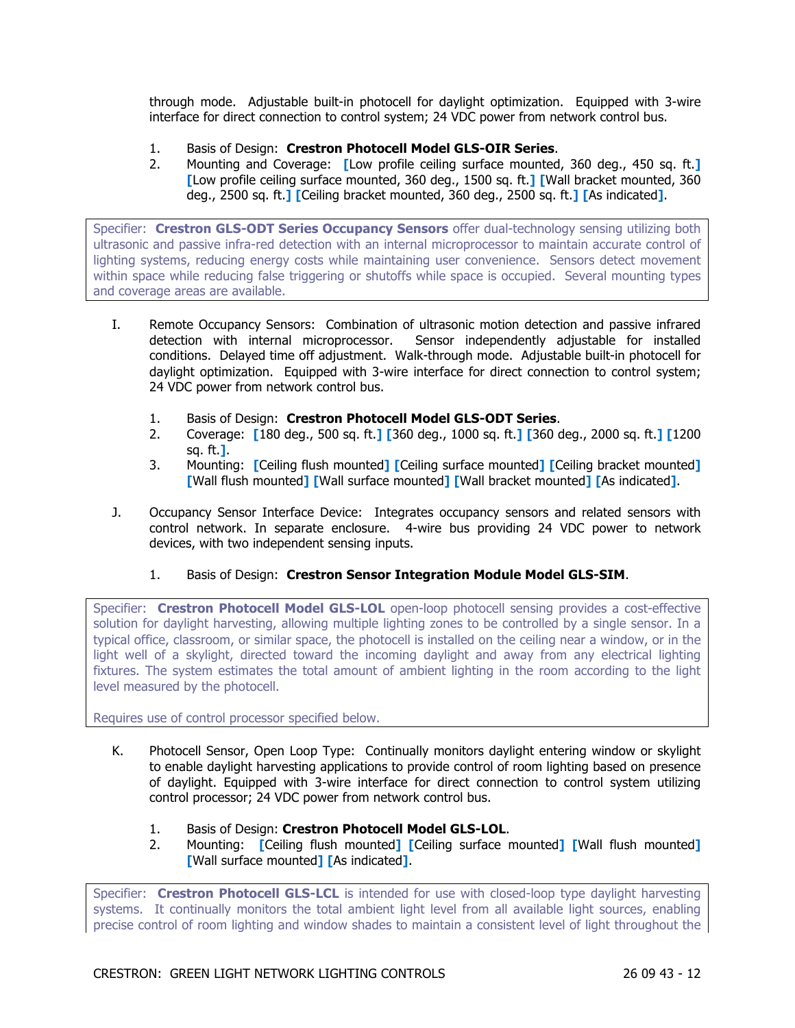through mode. Adjustable built-in photocell for daylight optimization. Equipped with 3-wire interface for direct connection to control system; 24 VDC power from network control bus.

- 1. Basis of Design: **Crestron Photocell Model GLS-OIR Series**.
- 2. Mounting and Coverage: **[**Low profile ceiling surface mounted, 360 deg., 450 sq. ft.**] [**Low profile ceiling surface mounted, 360 deg., 1500 sq. ft.**] [**Wall bracket mounted, 360 deg., 2500 sq. ft.**] [**Ceiling bracket mounted, 360 deg., 2500 sq. ft.**] [**As indicated**]**.

Specifier: **Crestron GLS-ODT Series Occupancy Sensors** offer dual-technology sensing utilizing both ultrasonic and passive infra-red detection with an internal microprocessor to maintain accurate control of lighting systems, reducing energy costs while maintaining user convenience. Sensors detect movement within space while reducing false triggering or shutoffs while space is occupied. Several mounting types and coverage areas are available.

- I. Remote Occupancy Sensors: Combination of ultrasonic motion detection and passive infrared detection with internal microprocessor. Sensor independently adjustable for installed conditions. Delayed time off adjustment. Walk-through mode. Adjustable built-in photocell for daylight optimization. Equipped with 3-wire interface for direct connection to control system; 24 VDC power from network control bus.
	- 1. Basis of Design: **Crestron Photocell Model GLS-ODT Series**.
	- 2. Coverage: **[**180 deg., 500 sq. ft.**] [**360 deg., 1000 sq. ft.**] [**360 deg., 2000 sq. ft.**] [**1200 sq. ft.**]**.
	- 3. Mounting: **[**Ceiling flush mounted**] [**Ceiling surface mounted**] [**Ceiling bracket mounted**] [**Wall flush mounted**] [**Wall surface mounted**] [**Wall bracket mounted**] [**As indicated**]**.
- J. Occupancy Sensor Interface Device: Integrates occupancy sensors and related sensors with control network. In separate enclosure. 4-wire bus providing 24 VDC power to network devices, with two independent sensing inputs.
	- 1. Basis of Design: **Crestron Sensor Integration Module Model GLS-SIM**.

Specifier: **Crestron Photocell Model GLS-LOL** open-loop photocell sensing provides a cost-effective solution for daylight harvesting, allowing multiple lighting zones to be controlled by a single sensor. In a typical office, classroom, or similar space, the photocell is installed on the ceiling near a window, or in the light well of a skylight, directed toward the incoming daylight and away from any electrical lighting fixtures. The system estimates the total amount of ambient lighting in the room according to the light level measured by the photocell.

Requires use of control processor specified below.

- K. Photocell Sensor, Open Loop Type: Continually monitors daylight entering window or skylight to enable daylight harvesting applications to provide control of room lighting based on presence of daylight. Equipped with 3-wire interface for direct connection to control system utilizing control processor; 24 VDC power from network control bus.
	- 1. Basis of Design: **Crestron Photocell Model GLS-LOL**.
	- 2. Mounting: **[**Ceiling flush mounted**] [**Ceiling surface mounted**] [**Wall flush mounted**] [**Wall surface mounted**] [**As indicated**]**.

Specifier: **Crestron Photocell GLS-LCL** is intended for use with closed-loop type daylight harvesting systems. It continually monitors the total ambient light level from all available light sources, enabling precise control of room lighting and window shades to maintain a consistent level of light throughout the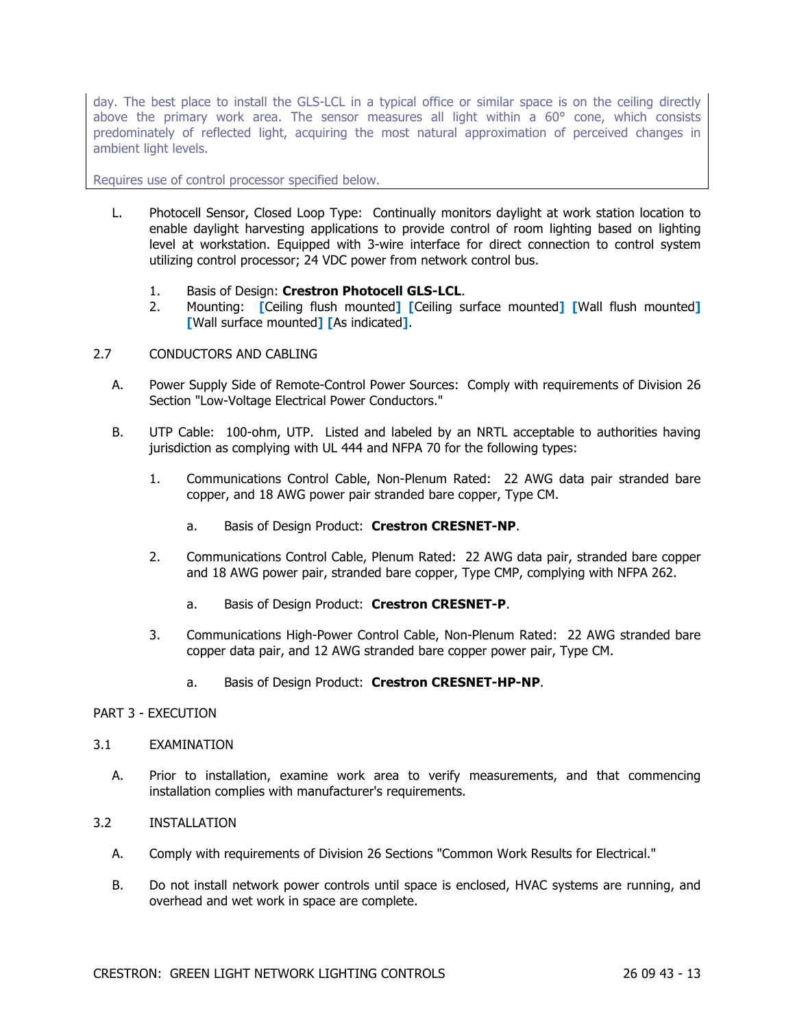day. The best place to install the GLS-LCL in a typical office or similar space is on the ceiling directly above the primary work area. The sensor measures all light within a 60° cone, which consists predominately of reflected light, acquiring the most natural approximation of perceived changes in ambient light levels.

Requires use of control processor specified below.

- L. Photocell Sensor, Closed Loop Type: Continually monitors daylight at work station location to enable daylight harvesting applications to provide control of room lighting based on lighting level at workstation. Equipped with 3-wire interface for direct connection to control system utilizing control processor; 24 VDC power from network control bus.
	- 1. Basis of Design: **Crestron Photocell GLS-LCL**.
	- 2. Mounting: **[**Ceiling flush mounted**] [**Ceiling surface mounted**] [**Wall flush mounted**] [**Wall surface mounted**] [**As indicated**]**.
- 2.7 CONDUCTORS AND CABLING
	- A. Power Supply Side of Remote-Control Power Sources: Comply with requirements of Division 26 Section "Low-Voltage Electrical Power Conductors."
	- B. UTP Cable: 100-ohm, UTP. Listed and labeled by an NRTL acceptable to authorities having jurisdiction as complying with UL 444 and NFPA 70 for the following types:
		- 1. Communications Control Cable, Non-Plenum Rated: 22 AWG data pair stranded bare copper, and 18 AWG power pair stranded bare copper, Type CM.
			- a. Basis of Design Product: **Crestron CRESNET-NP**.
		- 2. Communications Control Cable, Plenum Rated: 22 AWG data pair, stranded bare copper and 18 AWG power pair, stranded bare copper, Type CMP, complying with NFPA 262.
			- a. Basis of Design Product: **Crestron CRESNET-P**.
		- 3. Communications High-Power Control Cable, Non-Plenum Rated: 22 AWG stranded bare copper data pair, and 12 AWG stranded bare copper power pair, Type CM.
			- a. Basis of Design Product: **Crestron CRESNET-HP-NP**.

## PART 3 - EXECUTION

### 3.1 EXAMINATION

A. Prior to installation, examine work area to verify measurements, and that commencing installation complies with manufacturer's requirements.

## 3.2 INSTALLATION

- A. Comply with requirements of Division 26 Sections "Common Work Results for Electrical."
- B. Do not install network power controls until space is enclosed, HVAC systems are running, and overhead and wet work in space are complete.